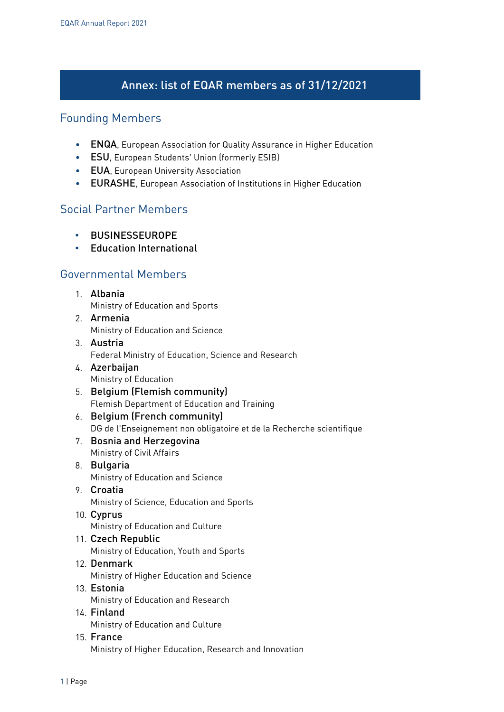# Annex: list of EQAR members as of 31/12/2021

#### Founding Members

- ENQA, European Association for Quality Assurance in Higher Education
- ESU, European Students' Union (formerly ESIB)
- EUA, European University Association
- EURASHE, European Association of Institutions in Higher Education

### Social Partner Members

- BUSINESSEUROPE
- Education International

## Governmental Members

- 1. Albania Ministry of Education and Sports
- 2. Armenia Ministry of Education and Science
- 3. Austria Federal Ministry of Education, Science and Research
- 4. Azerbaijan Ministry of Education
- 5. Belgium (Flemish community) Flemish Department of Education and Training
- 6. Belgium (French community) DG de l'Enseignement non obligatoire et de la Recherche scientifique
- 7. Bosnia and Herzegovina Ministry of Civil Affairs
- 8. Bulgaria Ministry of Education and Science
- 9. Croatia Ministry of Science, Education and Sports
- 10. Cyprus Ministry of Education and Culture
- 11. Czech Republic Ministry of Education, Youth and Sports
- 12. Denmark Ministry of Higher Education and Science 13. Estonia
- Ministry of Education and Research
- 14. Finland Ministry of Education and Culture
- 15. France Ministry of Higher Education, Research and Innovation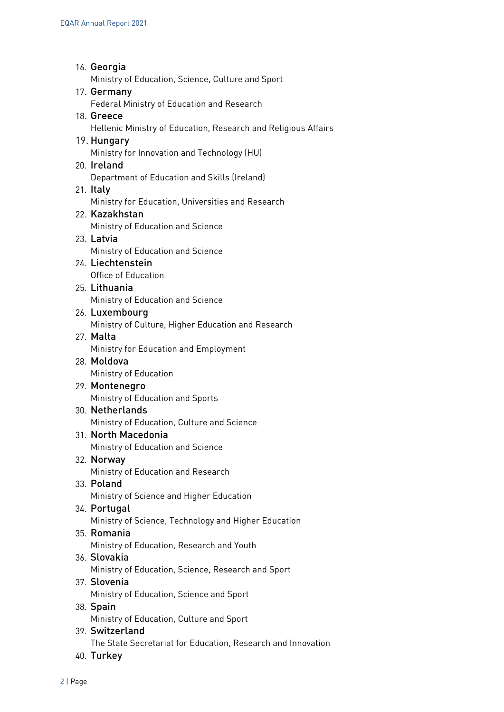- 16. Georgia Ministry of Education, Science, Culture and Sport 17. Germany Federal Ministry of Education and Research 18. Greece Hellenic Ministry of Education, Research and Religious Affairs 19. Hungary Ministry for Innovation and Technology (HU) 20. Ireland Department of Education and Skills (Ireland) 21. Italy Ministry for Education, Universities and Research 22. Kazakhstan Ministry of Education and Science 23. Latvia Ministry of Education and Science 24. Liechtenstein Office of Education 25. Lithuania Ministry of Education and Science 26. Luxembourg Ministry of Culture, Higher Education and Research 27. Malta Ministry for Education and Employment 28. Moldova Ministry of Education 29. Montenegro Ministry of Education and Sports 30. Netherlands Ministry of Education, Culture and Science 31. North Macedonia Ministry of Education and Science 32. Norway Ministry of Education and Research 33. Poland Ministry of Science and Higher Education 34. Portugal Ministry of Science, Technology and Higher Education 35. Romania Ministry of Education, Research and Youth 36. Slovakia Ministry of Education, Science, Research and Sport 37. Slovenia Ministry of Education, Science and Sport 38. Spain Ministry of Education, Culture and Sport 39. Switzerland The State Secretariat for Education, Research and Innovation
- 40. Turkey